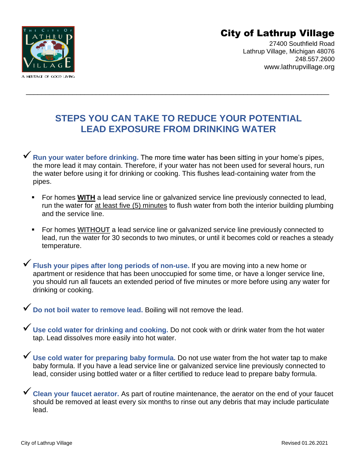

City of Lathrup Village

27400 Southfield Road Lathrup Village, Michigan 48076 248.557.2600 www.lathrupvillage.org

## **STEPS YOU CAN TAKE TO REDUCE YOUR POTENTIAL LEAD EXPOSURE FROM DRINKING WATER**

\_\_\_\_\_\_\_\_\_\_\_\_\_\_\_\_\_\_\_\_\_\_\_\_\_\_\_\_\_\_\_\_\_\_\_\_\_\_\_\_\_\_\_\_\_\_\_\_\_\_\_\_\_\_\_\_\_\_\_\_\_\_\_\_\_\_\_\_\_\_\_\_\_\_\_\_\_\_

✓**Run your water before drinking.** The more time water has been sitting in your home's pipes, the more lead it may contain. Therefore, if your water has not been used for several hours, run the water before using it for drinking or cooking. This flushes lead-containing water from the pipes.

- **For homes WITH** a lead service line or galvanized service line previously connected to lead, run the water for at least five (5) minutes to flush water from both the interior building plumbing and the service line.
- For homes **WITHOUT** a lead service line or galvanized service line previously connected to lead, run the water for 30 seconds to two minutes, or until it becomes cold or reaches a steady temperature.

✓**Flush your pipes after long periods of non-use.** If you are moving into a new home or apartment or residence that has been unoccupied for some time, or have a longer service line, you should run all faucets an extended period of five minutes or more before using any water for drinking or cooking.

✓**Do not boil water to remove lead.** Boiling will not remove the lead.

✓**Use cold water for drinking and cooking.** Do not cook with or drink water from the hot water tap. Lead dissolves more easily into hot water.

✓**Use cold water for preparing baby formula.** Do not use water from the hot water tap to make baby formula. If you have a lead service line or galvanized service line previously connected to lead, consider using bottled water or a filter certified to reduce lead to prepare baby formula.

✓**Clean your faucet aerator.** As part of routine maintenance, the aerator on the end of your faucet should be removed at least every six months to rinse out any debris that may include particulate lead.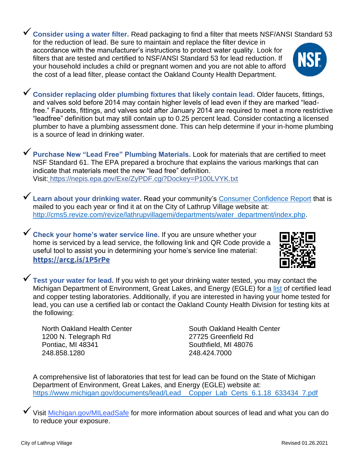✓**Consider using a water filter.** Read packaging to find a filter that meets NSF/ANSI Standard 53 for the reduction of lead. Be sure to maintain and replace the filter device in accordance with the manufacturer's instructions to protect water quality. Look for filters that are tested and certified to NSF/ANSI Standard 53 for lead reduction. If your household includes a child or pregnant women and you are not able to afford the cost of a lead filter, please contact the Oakland County Health Department.

✓**Consider replacing older plumbing fixtures that likely contain lead.** Older faucets, fittings, and valves sold before 2014 may contain higher levels of lead even if they are marked "leadfree." Faucets, fittings, and valves sold after January 2014 are required to meet a more restrictive "leadfree" definition but may still contain up to 0.25 percent lead. Consider contacting a licensed plumber to have a plumbing assessment done. This can help determine if your in-home plumbing is a source of lead in drinking water.

✓**Purchase New "Lead Free" Plumbing Materials.** Look for materials that are certified to meet NSF Standard 61. The EPA prepared a brochure that explains the various markings that can indicate that materials meet the new "lead free" definition. Visit: <https://nepis.epa.gov/Exe/ZyPDF.cgi?Dockey=P100LVYK.txt>

◆ Learn about your drinking water. Read your community's [Consumer Confidence Report](file:///C:/Users/smitchell/Documents/Water%20-%20Sewer/Lead%20and%20Copper/Lathrup%20Notifications/2019%20Lathrup%20Village%20CCR%20FINAL%20rev%205-29-2020.pdf) that is mailed to you each year or find it at on the City of Lathrup Village website at: [http://cms5.revize.com/revize/lathrupvillagemi/departments/water\\_department/index.php.](http://cms5.revize.com/revize/lathrupvillagemi/departments/water_department/index.php)

✓**Check your home's water service line.** If you are unsure whether your home is serviced by a lead service, the following link and QR Code provide a useful tool to assist you in determining your home's service line material: **<https://arcg.is/1P5rPe>**

✓**Test your water for lead.** If you wish to get your drinking water tested, you may contact the Michigan Department of Environment, Great Lakes, and Energy (EGLE) for a [list](file:///C:/Users/smitchell/Documents/Water%20-%20Sewer/Lead%20and%20Copper/Lead%20and%20Copper%20Educational%20Info/Michigan%20EGLE%20Lead%20and%20Copper%20Testing_Labs_Certified_526434_7.pdf) of certified lead and copper testing laboratories. Additionally, if you are interested in having your home tested for lead, you can use a certified lab or contact the Oakland County Health Division for testing kits at the following:

1200 N. Telegraph Rd 27725 Greenfield Rd Pontiac, MI 48341 Southfield, MI 48076 248.858.1280 248.424.7000

North Oakland Health Center South Oakland Health Center

A comprehensive list of laboratories that test for lead can be found on the State of Michigan Department of Environment, Great Lakes, and Energy (EGLE) website at: [https://www.michigan.gov/documents/lead/Lead\\_\\_Copper\\_Lab\\_Certs\\_6.1.18\\_633434\\_7.pdf](https://www.michigan.gov/documents/lead/Lead__Copper_Lab_Certs_6.1.18_633434_7.pdf)

✓Visit Michigan.gov/MILeadSafe for more information about sources of lead and what you can do to reduce your exposure.